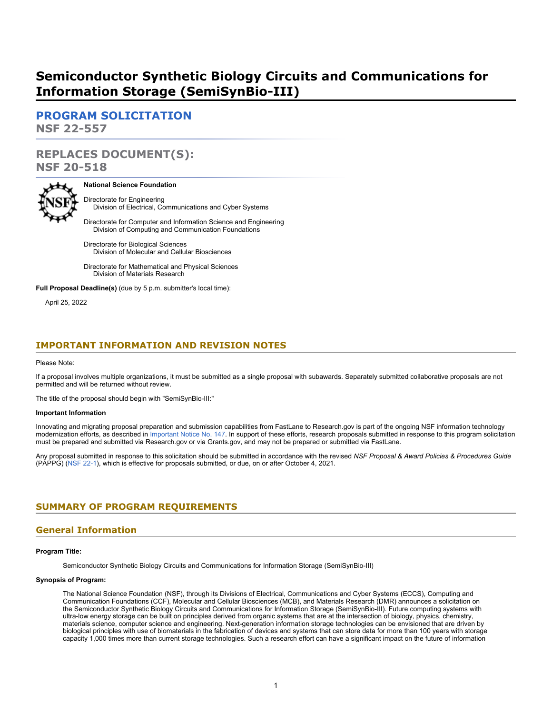# **Semiconductor Synthetic Biology Circuits and Communications for Information Storage (SemiSynBio-III)**

**[PROGRAM SOLICITATION](#page-2-0) NSF 22-557**

# **REPLACES DOCUMENT(S): NSF 20-518**



### **National Science Foundation**

Directorate for Engineering Division of Electrical, Communications and Cyber Systems

Directorate for Computer and Information Science and Engineering Division of Computing and Communication Foundations

Directorate for Biological Sciences Division of Molecular and Cellular Biosciences

Directorate for Mathematical and Physical Sciences Division of Materials Research

**Full Proposal Deadline(s)** (due by 5 p.m. submitter's local time):

April 25, 2022

### **IMPORTANT INFORMATION AND REVISION NOTES**

#### Please Note:

If a proposal involves multiple organizations, it must be submitted as a single proposal with subawards. Separately submitted collaborative proposals are not permitted and will be returned without review.

The title of the proposal should begin with "SemiSynBio-III:"

### **Important Information**

Innovating and migrating proposal preparation and submission capabilities from FastLane to Research.gov is part of the ongoing NSF information technology modernization efforts, as described in [Important Notice No. 147](https://www.nsf.gov/publications/pub_summ.jsp?ods_key=in147). In support of these efforts, research proposals submitted in response to this program solicitation must be prepared and submitted via Research.gov or via Grants.gov, and may not be prepared or submitted via FastLane.

Any proposal submitted in response to this solicitation should be submitted in accordance with the revised *NSF Proposal & Award Policies & Procedures Guide* (PAPPG) [\(NSF 22-1](https://www.nsf.gov/publications/pub_summ.jsp?ods_key=nsf22001&org=NSF)), which is effective for proposals submitted, or due, on or after October 4, 2021.

### <span id="page-0-0"></span>**SUMMARY OF PROGRAM REQUIREMENTS**

### **General Information**

#### **Program Title:**

Semiconductor Synthetic Biology Circuits and Communications for Information Storage (SemiSynBio-III)

#### **Synopsis of Program:**

The National Science Foundation (NSF), through its Divisions of Electrical, Communications and Cyber Systems (ECCS), Computing and Communication Foundations (CCF), Molecular and Cellular Biosciences (MCB), and Materials Research (DMR) announces a solicitation on the Semiconductor Synthetic Biology Circuits and Communications for Information Storage (SemiSynBio-III). Future computing systems with ultra-low energy storage can be built on principles derived from organic systems that are at the intersection of biology, physics, chemistry, materials science, computer science and engineering. Next-generation information storage technologies can be envisioned that are driven by biological principles with use of biomaterials in the fabrication of devices and systems that can store data for more than 100 years with storage capacity 1,000 times more than current storage technologies. Such a research effort can have a significant impact on the future of information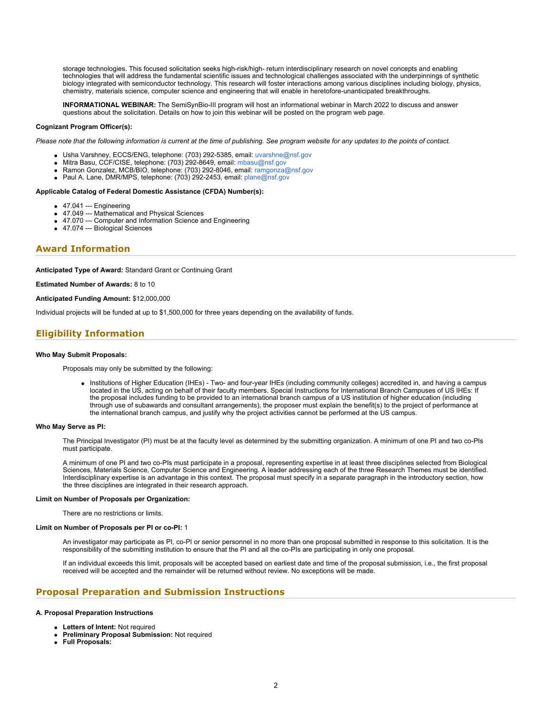storage technologies. This focused solicitation seeks high-risk/high- return interdisciplinary research on novel concepts and enabling technologies that will address the fundamental scientific issues and technological challenges associated with the underpinnings of synthetic biology integrated with semiconductor technology. This research will foster interactions among various disciplines including biology, physics, chemistry, materials science, computer science and engineering that will enable in heretofore-unanticipated breakthroughs.

**INFORMATIONAL WEBINAR:** The SemiSynBio-III program will host an informational webinar in March 2022 to discuss and answer questions about the solicitation. Details on how to join this webinar will be posted on the program web page.

### **Cognizant Program Officer(s):**

*Please note that the following information is current at the time of publishing. See program website for any updates to the points of contact.*

- Usha Varshney, ECCS/ENG, telephone: (703) 292-5385, email: [uvarshne@nsf.gov](mailto:uvarshne@nsf.gov)
- Mitra Basu, CCF/CISE, telephone: (703) 292-8649, email: [mbasu@nsf.gov](mailto:mbasu@nsf.gov)
- Ramon Gonzalez, MCB/BIO, telephone: (703) 292-8046, email: [ramgonza@nsf.gov](mailto:ramgonza@nsf.gov)
- $\bullet$ Paul A. Lane, DMR/MPS, telephone: (703) 292-2453, email: [plane@nsf.gov](mailto:plane@nsf.gov)

### **Applicable Catalog of Federal Domestic Assistance (CFDA) Number(s):**

- 47.041 --- Engineering
- 47.049 --- Mathematical and Physical Sciences
- 47.070 --- Computer and Information Science and Engineering
- 47.074 --- Biological Sciences

### **Award Information**

**Anticipated Type of Award:** Standard Grant or Continuing Grant

**Estimated Number of Awards:** 8 to 10

**Anticipated Funding Amount:** \$12,000,000

Individual projects will be funded at up to \$1,500,000 for three years depending on the availability of funds.

### **Eligibility Information**

### **Who May Submit Proposals:**

Proposals may only be submitted by the following:

Institutions of Higher Education (IHEs) - Two- and four-year IHEs (including community colleges) accredited in, and having a campus located in the US, acting on behalf of their faculty members. Special Instructions for International Branch Campuses of US IHEs: If the proposal includes funding to be provided to an international branch campus of a US institution of higher education (including through use of subawards and consultant arrangements), the proposer must explain the benefit(s) to the project of performance at the international branch campus, and justify why the project activities cannot be performed at the US campus.

#### **Who May Serve as PI:**

The Principal Investigator (PI) must be at the faculty level as determined by the submitting organization. A minimum of one PI and two co-PIs must participate.

A minimum of one PI and two co-PIs must participate in a proposal, representing expertise in at least three disciplines selected from Biological Sciences, Materials Science, Computer Science and Engineering. A leader addressing each of the three Research Themes must be identified. Interdisciplinary expertise is an advantage in this context. The proposal must specify in a separate paragraph in the introductory section, how the three disciplines are integrated in their research approach.

### **Limit on Number of Proposals per Organization:**

There are no restrictions or limits.

#### **Limit on Number of Proposals per PI or co-PI:** 1

An investigator may participate as PI, co-PI or senior personnel in no more than one proposal submitted in response to this solicitation. It is the responsibility of the submitting institution to ensure that the PI and all the co-PIs are participating in only one proposal.

If an individual exceeds this limit, proposals will be accepted based on earliest date and time of the proposal submission, i.e., the first proposal received will be accepted and the remainder will be returned without review. No exceptions will be made.

### **Proposal Preparation and Submission Instructions**

#### **A. Proposal Preparation Instructions**

- **Letters of Intent:** Not required
- **Preliminary Proposal Submission:** Not required
- **Full Proposals:**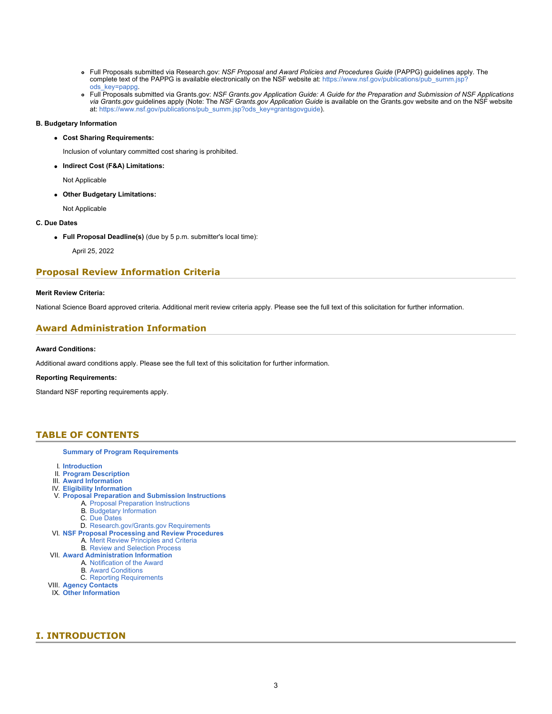- Full Proposals submitted via Research.gov: *NSF Proposal and Award Policies and Procedures Guide* (PAPPG) guidelines apply. The complete text of the PAPPG is available electronically on the NSF website at: [https://www.nsf.gov/publications/pub\\_summ.jsp?](https://www.nsf.gov/publications/pub_summ.jsp?ods_key=pappg) [ods\\_key=pappg.](https://www.nsf.gov/publications/pub_summ.jsp?ods_key=pappg)
- Full Proposals submitted via Grants.gov: *NSF Grants.gov Application Guide: A Guide for the Preparation and Submission of NSF Applications via Grants.gov* guidelines apply (Note: The *NSF Grants.gov Application Guide* is available on the Grants.gov website and on the NSF website at: [https://www.nsf.gov/publications/pub\\_summ.jsp?ods\\_key=grantsgovguide](https://www.nsf.gov/publications/pub_summ.jsp?ods_key=grantsgovguide)).

### **B. Budgetary Information**

**Cost Sharing Requirements:**

Inclusion of voluntary committed cost sharing is prohibited.

**Indirect Cost (F&A) Limitations:**

Not Applicable

**Other Budgetary Limitations:**

Not Applicable

- **C. Due Dates**
	- **Full Proposal Deadline(s)** (due by 5 p.m. submitter's local time):

April 25, 2022

### **Proposal Review Information Criteria**

### **Merit Review Criteria:**

National Science Board approved criteria. Additional merit review criteria apply. Please see the full text of this solicitation for further information.

# **Award Administration Information**

### **Award Conditions:**

Additional award conditions apply. Please see the full text of this solicitation for further information.

### **Reporting Requirements:**

Standard NSF reporting requirements apply.

### <span id="page-2-0"></span>**TABLE OF CONTENTS**

### **[Summary of Program Requirements](#page-0-0)**

- I. **[Introduction](#page-2-1)**
- II. **[Program Description](#page-3-0)**
- III. **[Award Information](#page-4-0)**
- IV. **[Eligibility Information](#page-5-0)**
- V. **[Proposal Preparation and Submission Instructions](#page-5-1)**
	- A. [Proposal Preparation Instructions](#page-5-1)
	- B. [Budgetary Information](#page-6-0)
	- C. [Due Dates](#page-6-1)
- D. [Research.gov/Grants.gov Requirements](#page-6-2) VI. **[NSF Proposal Processing and Review Procedures](#page-6-3)**
	- A. [Merit Review Principles and Criteria](#page-7-0)
	- B. [Review and Selection Process](#page-8-0)
- VII. **[Award Administration Information](#page-8-1)**
- A. [Notification of the Award](#page-8-2)
	- B. [Award Conditions](#page-8-3)
	- C. [Reporting Requirements](#page-8-4)
- VIII. **[Agency Contacts](#page-9-0)**
- IX. **[Other Information](#page-9-1)**

# <span id="page-2-1"></span>**I. INTRODUCTION**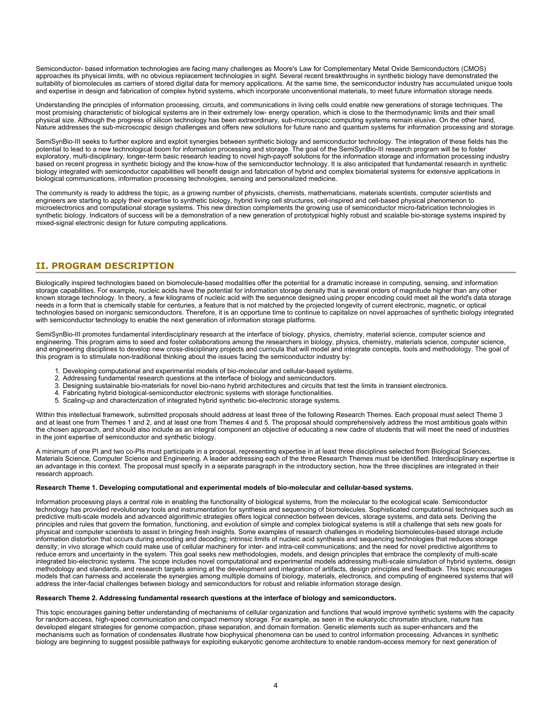Semiconductor- based information technologies are facing many challenges as Moore's Law for Complementary Metal Oxide Semiconductors (CMOS) approaches its physical limits, with no obvious replacement technologies in sight. Several recent breakthroughs in synthetic biology have demonstrated the suitability of biomolecules as carriers of stored digital data for memory applications. At the same time, the semiconductor industry has accumulated unique tools and expertise in design and fabrication of complex hybrid systems, which incorporate unconventional materials, to meet future information storage needs.

Understanding the principles of information processing, circuits, and communications in living cells could enable new generations of storage techniques. The most promising characteristic of biological systems are in their extremely low- energy operation, which is close to the thermodynamic limits and their small physical size. Although the progress of silicon technology has been extraordinary, sub-microscopic computing systems remain elusive. On the other hand, Nature addresses the sub-microscopic design challenges and offers new solutions for future nano and quantum systems for information processing and storage.

SemiSynBio-III seeks to further explore and exploit synergies between synthetic biology and semiconductor technology. The integration of these fields has the potential to lead to a new technological boom for information processing and storage. The goal of the SemiSynBio-III research program will be to foster exploratory, multi-disciplinary, longer-term basic research leading to novel high-payoff solutions for the information storage and information processing industry based on recent progress in synthetic biology and the know-how of the semiconductor technology. It is also anticipated that fundamental research in synthetic biology integrated with semiconductor capabilities will benefit design and fabrication of hybrid and complex biomaterial systems for extensive applications in biological communications, information processing technologies, sensing and personalized medicine.

The community is ready to address the topic, as a growing number of physicists, chemists, mathematicians, materials scientists, computer scientists and engineers are starting to apply their expertise to synthetic biology, hybrid living cell structures, cell-inspired and cell-based physical phenomenon to microelectronics and computational storage systems. This new direction complements the growing use of semiconductor micro-fabrication technologies in synthetic biology. Indicators of success will be a demonstration of a new generation of prototypical highly robust and scalable bio-storage systems inspired by mixed-signal electronic design for future computing applications.

# <span id="page-3-0"></span>**II. PROGRAM DESCRIPTION**

Biologically inspired technologies based on biomolecule-based modalities offer the potential for a dramatic increase in computing, sensing, and information storage capabilities. For example, nucleic acids have the potential for information storage density that is several orders of magnitude higher than any other known storage technology. In theory, a few kilograms of nucleic acid with the sequence designed using proper encoding could meet all the world's data storage needs in a form that is chemically stable for centuries, a feature that is not matched by the projected longevity of current electronic, magnetic, or optical technologies based on inorganic semiconductors. Therefore, it is an opportune time to continue to capitalize on novel approaches of synthetic biology integrated with semiconductor technology to enable the next generation of information storage platforms.

SemiSynBio-III promotes fundamental interdisciplinary research at the interface of biology, physics, chemistry, material science, computer science and engineering. This program aims to seed and foster collaborations among the researchers in biology, physics, chemistry, materials science, computer science, and engineering disciplines to develop new cross-disciplinary projects and curricula that will model and integrate concepts, tools and methodology. The goal of this program is to stimulate non-traditional thinking about the issues facing the semiconductor industry by:

- 1. Developing computational and experimental models of bio-molecular and cellular-based systems.
- 2. Addressing fundamental research questions at the interface of biology and semiconductors.<br>3. Designing sustainable bio-materials for novel bio-nano hybrid architectures and circuits that
- Designing sustainable bio-materials for novel bio-nano hybrid architectures and circuits that test the limits in transient electronics.
- 4. Fabricating hybrid biological-semiconductor electronic systems with storage functionalities.
- 5. Scaling-up and characterization of integrated hybrid synthetic bio-electronic storage systems.

Within this intellectual framework, submitted proposals should address at least three of the following Research Themes. Each proposal must select Theme 3 and at least one from Themes 1 and 2, and at least one from Themes 4 and 5. The proposal should comprehensively address the most ambitious goals within the chosen approach, and should also include as an integral component an objective of educating a new cadre of students that will meet the need of industries in the joint expertise of semiconductor and synthetic biology.

A minimum of one PI and two co-PIs must participate in a proposal, representing expertise in at least three disciplines selected from Biological Sciences, Materials Science, Computer Science and Engineering. A leader addressing each of the three Research Themes must be identified. Interdisciplinary expertise is an advantage in this context. The proposal must specify in a separate paragraph in the introductory section, how the three disciplines are integrated in their research approach.

### **Research Theme 1. Developing computational and experimental models of bio-molecular and cellular-based systems.**

Information processing plays a central role in enabling the functionality of biological systems, from the molecular to the ecological scale. Semiconductor technology has provided revolutionary tools and instrumentation for synthesis and sequencing of biomolecules. Sophisticated computational techniques such as predictive multi-scale models and advanced algorithmic strategies offers logical connection between devices, storage systems, and data sets. Deriving the principles and rules that govern the formation, functioning, and evolution of simple and complex biological systems is still a challenge that sets new goals for physical and computer scientists to assist in bringing fresh insights. Some examples of research challenges in modeling biomolecules-based storage include information distortion that occurs during encoding and decoding; intrinsic limits of nucleic acid synthesis and sequencing technologies that reduces storage density; in vivo storage which could make use of cellular machinery for inter- and intra-cell communications; and the need for novel predictive algorithms to reduce errors and uncertainty in the system. This goal seeks new methodologies, models, and design principles that embrace the complexity of multi-scale integrated bio-electronic systems. The scope includes novel computational and experimental models addressing multi-scale simulation of hybrid systems, design methodology and standards, and research targets aiming at the development and integration of artifacts, design principles and feedback. This topic encourages models that can harness and accelerate the synergies among multiple domains of biology, materials, electronics, and computing of engineered systems that will address the inter-facial challenges between biology and semiconductors for robust and reliable information storage design.

### **Research Theme 2. Addressing fundamental research questions at the interface of biology and semiconductors.**

This topic encourages gaining better understanding of mechanisms of cellular organization and functions that would improve synthetic systems with the capacity for random-access, high-speed communication and compact memory storage. For example, as seen in the eukaryotic chromatin structure, nature has developed elegant strategies for genome compaction, phase separation, and domain formation. Genetic elements such as super-enhancers and the mechanisms such as formation of condensates illustrate how biophysical phenomena can be used to control information processing. Advances in synthetic biology are beginning to suggest possible pathways for exploiting eukaryotic genome architecture to enable random-access memory for next generation of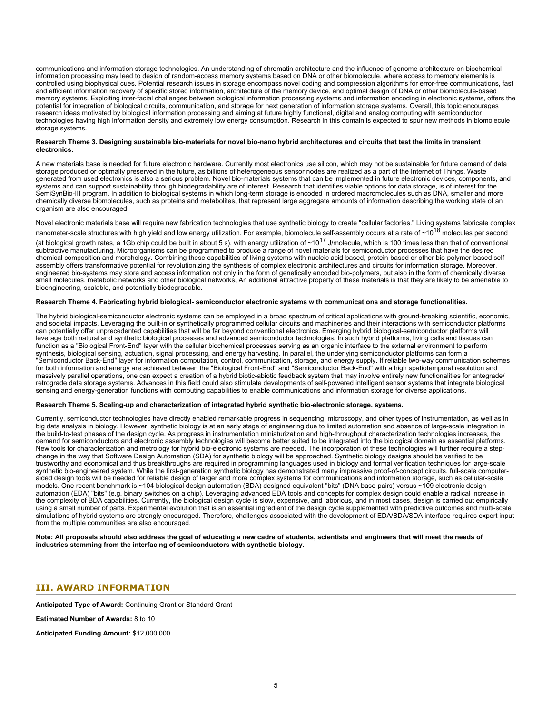communications and information storage technologies. An understanding of chromatin architecture and the influence of genome architecture on biochemical information processing may lead to design of random-access memory systems based on DNA or other biomolecule, where access to memory elements is controlled using biophysical cues. Potential research issues in storage encompass novel coding and compression algorithms for error-free communications, fast and efficient information recovery of specific stored information, architecture of the memory device, and optimal design of DNA or other biomolecule-based memory systems. Exploiting inter-facial challenges between biological information processing systems and information encoding in electronic systems, offers the potential for integration of biological circuits, communication, and storage for next generation of information storage systems. Overall, this topic encourages research ideas motivated by biological information processing and aiming at future highly functional, digital and analog computing with semiconductor technologies having high information density and extremely low energy consumption. Research in this domain is expected to spur new methods in biomolecule storage systems.

#### **Research Theme 3. Designing sustainable bio-materials for novel bio-nano hybrid architectures and circuits that test the limits in transient electronics.**

A new materials base is needed for future electronic hardware. Currently most electronics use silicon, which may not be sustainable for future demand of data storage produced or optimally preserved in the future, as billions of heterogeneous sensor nodes are realized as a part of the Internet of Things. Waste generated from used electronics is also a serious problem. Novel bio-materials systems that can be implemented in future electronic devices, components, and systems and can support sustainability through biodegradability are of interest. Research that identifies viable options for data storage, is of interest for the SemiSynBio-III program. In addition to biological systems in which long-term storage is encoded in ordered macromolecules such as DNA, smaller and more chemically diverse biomolecules, such as proteins and metabolites, that represent large aggregate amounts of information describing the working state of an organism are also encouraged.

Novel electronic materials base will require new fabrication technologies that use synthetic biology to create "cellular factories." Living systems fabricate complex

nanometer-scale structures with high yield and low energy utilization. For example, biomolecule self-assembly occurs at a rate of  $\sim$ 10<sup>18</sup> molecules per second (at biological growth rates, a 1Gb chip could be built in about 5 s), with energy utilization of  $\sim 10^{17}$  J/molecule, which is 100 times less than that of conventional subtractive manufacturing. Microorganisms can be programmed to produce a range of novel materials for semiconductor processes that have the desired chemical composition and morphology. Combining these capabilities of living systems with nucleic acid-based, protein-based or other bio-polymer-based selfassembly offers transformative potential for revolutionizing the synthesis of complex electronic architectures and circuits for information storage. Moreover, engineered bio-systems may store and access information not only in the form of genetically encoded bio-polymers, but also in the form of chemically diverse small molecules, metabolic networks and other biological networks, An additional attractive property of these materials is that they are likely to be amenable to bioengineering, scalable, and potentially biodegradable.

#### **Research Theme 4. Fabricating hybrid biological- semiconductor electronic systems with communications and storage functionalities.**

The hybrid biological-semiconductor electronic systems can be employed in a broad spectrum of critical applications with ground-breaking scientific, economic, and societal impacts. Leveraging the built-in or synthetically programmed cellular circuits and machineries and their interactions with semiconductor platforms can potentially offer unprecedented capabilities that will be far beyond conventional electronics. Emerging hybrid biological-semiconductor platforms will leverage both natural and synthetic biological processes and advanced semiconductor technologies. In such hybrid platforms, living cells and tissues can function as a "Biological Front-End" layer with the cellular biochemical processes serving as an organic interface to the external environment to perform synthesis, biological sensing, actuation, signal processing, and energy harvesting. In parallel, the underlying semiconductor platforms can form a "Semiconductor Back-End" layer for information computation, control, communication, storage, and energy supply. If reliable two-way communication schemes for both information and energy are achieved between the "Biological Front-End" and "Semiconductor Back-End" with a high spatiotemporal resolution and massively parallel operations, one can expect a creation of a hybrid biotic-abiotic feedback system that may involve entirely new functionalities for antegrade/ retrograde data storage systems. Advances in this field could also stimulate developments of self-powered intelligent sensor systems that integrate biological sensing and energy-generation functions with computing capabilities to enable communications and information storage for diverse applications.

### **Research Theme 5. Scaling-up and characterization of integrated hybrid synthetic bio-electronic storage. systems.**

Currently, semiconductor technologies have directly enabled remarkable progress in sequencing, microscopy, and other types of instrumentation, as well as in big data analysis in biology. However, synthetic biology is at an early stage of engineering due to limited automation and absence of large-scale integration in the build-to-test phases of the design cycle. As progress in instrumentation miniaturization and high-throughput characterization technologies increases, the demand for semiconductors and electronic assembly technologies will become better suited to be integrated into the biological domain as essential platforms. New tools for characterization and metrology for hybrid bio-electronic systems are needed. The incorporation of these technologies will further require a stepchange in the way that Software Design Automation (SDA) for synthetic biology will be approached. Synthetic biology designs should be verified to be trustworthy and economical and thus breakthroughs are required in programming languages used in biology and formal verification techniques for large-scale synthetic bio-engineered system. While the first-generation synthetic biology has demonstrated many impressive proof-of-concept circuits, full-scale computeraided design tools will be needed for reliable design of larger and more complex systems for communications and information storage, such as cellular-scale models. One recent benchmark is ~104 biological design automation (BDA) designed equivalent "bits" (DNA base-pairs) versus ~109 electronic design automation (EDA) "bits" (e.g. binary switches on a chip). Leveraging advanced EDA tools and concepts for complex design could enable a radical increase in the complexity of BDA capabilities. Currently, the biological design cycle is slow, expensive, and laborious, and in most cases, design is carried out empirically using a small number of parts. Experimental evolution that is an essential ingredient of the design cycle supplemented with predictive outcomes and multi-scale simulations of hybrid systems are strongly encouraged. Therefore, challenges associated with the development of EDA/BDA/SDA interface requires expert input from the multiple communities are also encouraged.

**Note: All proposals should also address the goal of educating a new cadre of students, scientists and engineers that will meet the needs of industries stemming from the interfacing of semiconductors with synthetic biology.**

### <span id="page-4-0"></span>**III. AWARD INFORMATION**

**Anticipated Type of Award:** Continuing Grant or Standard Grant

**Estimated Number of Awards:** 8 to 10

**Anticipated Funding Amount:** \$12,000,000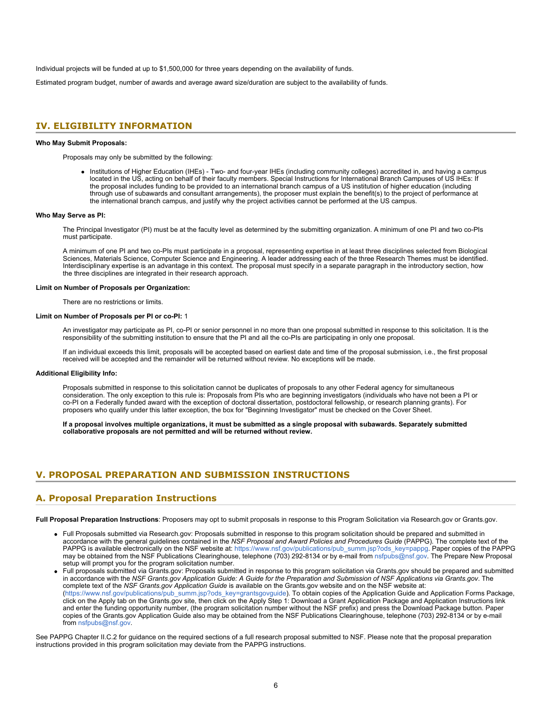Individual projects will be funded at up to \$1,500,000 for three years depending on the availability of funds.

Estimated program budget, number of awards and average award size/duration are subject to the availability of funds.

### <span id="page-5-0"></span>**IV. ELIGIBILITY INFORMATION**

#### **Who May Submit Proposals:**

Proposals may only be submitted by the following:

• Institutions of Higher Education (IHEs) - Two- and four-year IHEs (including community colleges) accredited in, and having a campus located in the US, acting on behalf of their faculty members. Special Instructions for International Branch Campuses of US IHEs: If the proposal includes funding to be provided to an international branch campus of a US institution of higher education (including through use of subawards and consultant arrangements), the proposer must explain the benefit(s) to the project of performance at the international branch campus, and justify why the project activities cannot be performed at the US campus.

#### **Who May Serve as PI:**

The Principal Investigator (PI) must be at the faculty level as determined by the submitting organization. A minimum of one PI and two co-PIs must participate.

A minimum of one PI and two co-PIs must participate in a proposal, representing expertise in at least three disciplines selected from Biological Sciences, Materials Science, Computer Science and Engineering. A leader addressing each of the three Research Themes must be identified. Interdisciplinary expertise is an advantage in this context. The proposal must specify in a separate paragraph in the introductory section, how the three disciplines are integrated in their research approach.

### **Limit on Number of Proposals per Organization:**

There are no restrictions or limits.

### **Limit on Number of Proposals per PI or co-PI:** 1

An investigator may participate as PI, co-PI or senior personnel in no more than one proposal submitted in response to this solicitation. It is the responsibility of the submitting institution to ensure that the PI and all the co-PIs are participating in only one proposal.

If an individual exceeds this limit, proposals will be accepted based on earliest date and time of the proposal submission, i.e., the first proposal received will be accepted and the remainder will be returned without review. No exceptions will be made.

#### **Additional Eligibility Info:**

Proposals submitted in response to this solicitation cannot be duplicates of proposals to any other Federal agency for simultaneous consideration. The only exception to this rule is: Proposals from PIs who are beginning investigators (individuals who have not been a PI or co-PI on a Federally funded award with the exception of doctoral dissertation, postdoctoral fellowship, or research planning grants). For proposers who qualify under this latter exception, the box for "Beginning Investigator" must be checked on the Cover Sheet.

**If a proposal involves multiple organizations, it must be submitted as a single proposal with subawards. Separately submitted collaborative proposals are not permitted and will be returned without review.**

### <span id="page-5-1"></span>**V. PROPOSAL PREPARATION AND SUBMISSION INSTRUCTIONS**

### **A. Proposal Preparation Instructions**

**Full Proposal Preparation Instructions**: Proposers may opt to submit proposals in response to this Program Solicitation via Research.gov or Grants.gov.

- Full Proposals submitted via Research.gov: Proposals submitted in response to this program solicitation should be prepared and submitted in accordance with the general guidelines contained in the *NSF Proposal and Award Policies and Procedures Guide* (PAPPG). The complete text of the PAPPG is available electronically on the NSF website at: [https://www.nsf.gov/publications/pub\\_summ.jsp?ods\\_key=pappg](https://www.nsf.gov/publications/pub_summ.jsp?ods_key=pappg). Paper copies of the PAPPG may be obtained from the NSF Publications Clearinghouse, telephone (703) 292-8134 or by e-mail from [nsfpubs@nsf.gov.](mailto:nsfpubs@nsf.gov) The Prepare New Proposal setup will prompt you for the program solicitation number.
- Full proposals submitted via Grants.gov: Proposals submitted in response to this program solicitation via Grants.gov should be prepared and submitted in accordance with the *NSF Grants.gov Application Guide: A Guide for the Preparation and Submission of NSF Applications via Grants.gov*. The complete text of the *NSF Grants.gov Application Guide* is available on the Grants.gov website and on the NSF website at: [\(https://www.nsf.gov/publications/pub\\_summ.jsp?ods\\_key=grantsgovguide](https://www.nsf.gov/publications/pub_summ.jsp?ods_key=grantsgovguide)). To obtain copies of the Application Guide and Application Forms Package, click on the Apply tab on the Grants.gov site, then click on the Apply Step 1: Download a Grant Application Package and Application Instructions link and enter the funding opportunity number, (the program solicitation number without the NSF prefix) and press the Download Package button. Paper copies of the Grants.gov Application Guide also may be obtained from the NSF Publications Clearinghouse, telephone (703) 292-8134 or by e-mail from [nsfpubs@nsf.gov](mailto:nsfpubs@nsf.gov).

See PAPPG Chapter II.C.2 for guidance on the required sections of a full research proposal submitted to NSF. Please note that the proposal preparation instructions provided in this program solicitation may deviate from the PAPPG instructions.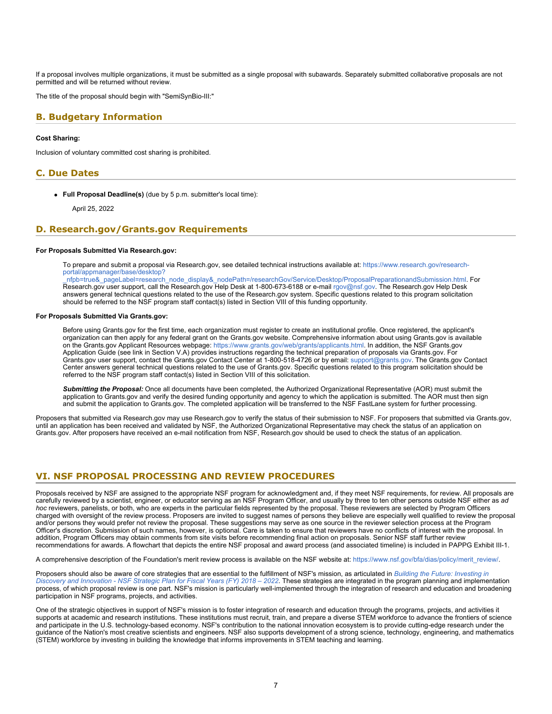If a proposal involves multiple organizations, it must be submitted as a single proposal with subawards. Separately submitted collaborative proposals are not permitted and will be returned without review.

The title of the proposal should begin with "SemiSynBio-III:"

### <span id="page-6-0"></span>**B. Budgetary Information**

### **Cost Sharing:**

Inclusion of voluntary committed cost sharing is prohibited.

# <span id="page-6-1"></span>**C. Due Dates**

**Full Proposal Deadline(s)** (due by 5 p.m. submitter's local time):

April 25, 2022

### <span id="page-6-2"></span>**D. Research.gov/Grants.gov Requirements**

#### **For Proposals Submitted Via Research.gov:**

To prepare and submit a proposal via Research.gov, see detailed technical instructions available at: [https://www.research.gov/research](https://www.research.gov/research-portal/appmanager/base/desktop?_nfpb=true&_pageLabel=research_node_display&_nodePath=/researchGov/Service/Desktop/ProposalPreparationandSubmission.html)[portal/appmanager/base/desktop?](https://www.research.gov/research-portal/appmanager/base/desktop?_nfpb=true&_pageLabel=research_node_display&_nodePath=/researchGov/Service/Desktop/ProposalPreparationandSubmission.html)

[\\_nfpb=true&\\_pageLabel=research\\_node\\_display&\\_nodePath=/researchGov/Service/Desktop/ProposalPreparationandSubmission.html](https://www.research.gov/research-portal/appmanager/base/desktop?_nfpb=true&_pageLabel=research_node_display&_nodePath=/researchGov/Service/Desktop/ProposalPreparationandSubmission.html). For Research.gov user support, call the Research.gov Help Desk at 1-800-673-6188 or e-mail [rgov@nsf.gov](mailto:rgov@nsf.gov). The Research.gov Help Desk answers general technical questions related to the use of the Research.gov system. Specific questions related to this program solicitation should be referred to the NSF program staff contact(s) listed in Section VIII of this funding opportunity.

### **For Proposals Submitted Via Grants.gov:**

Before using Grants.gov for the first time, each organization must register to create an institutional profile. Once registered, the applicant's organization can then apply for any federal grant on the Grants.gov website. Comprehensive information about using Grants.gov is available on the Grants.gov Applicant Resources webpage:<https://www.grants.gov/web/grants/applicants.html>. In addition, the NSF Grants.gov Application Guide (see link in Section V.A) provides instructions regarding the technical preparation of proposals via Grants.gov. For Grants.gov user support, contact the Grants.gov Contact Center at 1-800-518-4726 or by email: [support@grants.gov.](mailto:support@grants.gov) The Grants.gov Contact Center answers general technical questions related to the use of Grants.gov. Specific questions related to this program solicitation should be referred to the NSF program staff contact(s) listed in Section VIII of this solicitation.

*Submitting the Proposal:* Once all documents have been completed, the Authorized Organizational Representative (AOR) must submit the application to Grants.gov and verify the desired funding opportunity and agency to which the application is submitted. The AOR must then sign and submit the application to Grants.gov. The completed application will be transferred to the NSF FastLane system for further processing.

Proposers that submitted via Research.gov may use Research.gov to verify the status of their submission to NSF. For proposers that submitted via Grants.gov, until an application has been received and validated by NSF, the Authorized Organizational Representative may check the status of an application on Grants.gov. After proposers have received an e-mail notification from NSF, Research.gov should be used to check the status of an application.

# <span id="page-6-3"></span>**VI. NSF PROPOSAL PROCESSING AND REVIEW PROCEDURES**

Proposals received by NSF are assigned to the appropriate NSF program for acknowledgment and, if they meet NSF requirements, for review. All proposals are carefully reviewed by a scientist, engineer, or educator serving as an NSF Program Officer, and usually by three to ten other persons outside NSF either as *ad hoc* reviewers, panelists, or both, who are experts in the particular fields represented by the proposal. These reviewers are selected by Program Officers charged with oversight of the review process. Proposers are invited to suggest names of persons they believe are especially well qualified to review the proposal and/or persons they would prefer not review the proposal. These suggestions may serve as one source in the reviewer selection process at the Program Officer's discretion. Submission of such names, however, is optional. Care is taken to ensure that reviewers have no conflicts of interest with the proposal. In addition, Program Officers may obtain comments from site visits before recommending final action on proposals. Senior NSF staff further review recommendations for awards. A flowchart that depicts the entire NSF proposal and award process (and associated timeline) is included in PAPPG Exhibit III-1.

A comprehensive description of the Foundation's merit review process is available on the NSF website at: [https://www.nsf.gov/bfa/dias/policy/merit\\_review/](https://www.nsf.gov/bfa/dias/policy/merit_review/).

Proposers should also be aware of core strategies that are essential to the fulfillment of NSF's mission, as articulated in *[Building the Future: Investing in](https://www.nsf.gov/publications/pub_summ.jsp?ods_key=nsf18045) [Discovery and Innovation - NSF Strategic Plan for Fiscal Years \(FY\) 2018 – 2022](https://www.nsf.gov/publications/pub_summ.jsp?ods_key=nsf18045)*. These strategies are integrated in the program planning and implementation process, of which proposal review is one part. NSF's mission is particularly well-implemented through the integration of research and education and broadening participation in NSF programs, projects, and activities.

One of the strategic objectives in support of NSF's mission is to foster integration of research and education through the programs, projects, and activities it supports at academic and research institutions. These institutions must recruit, train, and prepare a diverse STEM workforce to advance the frontiers of science and participate in the U.S. technology-based economy. NSF's contribution to the national innovation ecosystem is to provide cutting-edge research under the guidance of the Nation's most creative scientists and engineers. NSF also supports development of a strong science, technology, engineering, and mathematics (STEM) workforce by investing in building the knowledge that informs improvements in STEM teaching and learning.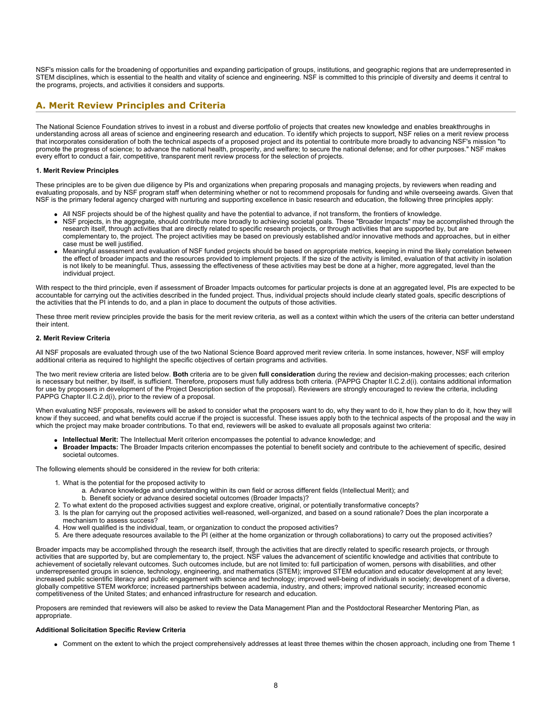NSF's mission calls for the broadening of opportunities and expanding participation of groups, institutions, and geographic regions that are underrepresented in STEM disciplines, which is essential to the health and vitality of science and engineering. NSF is committed to this principle of diversity and deems it central to the programs, projects, and activities it considers and supports.

# <span id="page-7-0"></span>**A. Merit Review Principles and Criteria**

The National Science Foundation strives to invest in a robust and diverse portfolio of projects that creates new knowledge and enables breakthroughs in understanding across all areas of science and engineering research and education. To identify which projects to support, NSF relies on a merit review process that incorporates consideration of both the technical aspects of a proposed project and its potential to contribute more broadly to advancing NSF's mission "to promote the progress of science; to advance the national health, prosperity, and welfare; to secure the national defense; and for other purposes." NSF makes every effort to conduct a fair, competitive, transparent merit review process for the selection of projects.

### **1. Merit Review Principles**

These principles are to be given due diligence by PIs and organizations when preparing proposals and managing projects, by reviewers when reading and evaluating proposals, and by NSF program staff when determining whether or not to recommend proposals for funding and while overseeing awards. Given that NSF is the primary federal agency charged with nurturing and supporting excellence in basic research and education, the following three principles apply:

- All NSF projects should be of the highest quality and have the potential to advance, if not transform, the frontiers of knowledge.
- NSF projects, in the aggregate, should contribute more broadly to achieving societal goals. These "Broader Impacts" may be accomplished through the research itself, through activities that are directly related to specific research projects, or through activities that are supported by, but are complementary to, the project. The project activities may be based on previously established and/or innovative methods and approaches, but in either case must be well justified.
- Meaningful assessment and evaluation of NSF funded projects should be based on appropriate metrics, keeping in mind the likely correlation between the effect of broader impacts and the resources provided to implement projects. If the size of the activity is limited, evaluation of that activity in isolation is not likely to be meaningful. Thus, assessing the effectiveness of these activities may best be done at a higher, more aggregated, level than the individual project.

With respect to the third principle, even if assessment of Broader Impacts outcomes for particular projects is done at an aggregated level, PIs are expected to be accountable for carrying out the activities described in the funded project. Thus, individual projects should include clearly stated goals, specific descriptions of the activities that the PI intends to do, and a plan in place to document the outputs of those activities.

These three merit review principles provide the basis for the merit review criteria, as well as a context within which the users of the criteria can better understand their intent.

### **2. Merit Review Criteria**

All NSF proposals are evaluated through use of the two National Science Board approved merit review criteria. In some instances, however, NSF will employ additional criteria as required to highlight the specific objectives of certain programs and activities.

The two merit review criteria are listed below. **Both** criteria are to be given **full consideration** during the review and decision-making processes; each criterion is necessary but neither, by itself, is sufficient. Therefore, proposers must fully address both criteria. (PAPPG Chapter II.C.2.d(i). contains additional information for use by proposers in development of the Project Description section of the proposal). Reviewers are strongly encouraged to review the criteria, including PAPPG Chapter II.C.2.d(i), prior to the review of a proposal.

When evaluating NSF proposals, reviewers will be asked to consider what the proposers want to do, why they want to do it, how they plan to do it, how they will know if they succeed, and what benefits could accrue if the project is successful. These issues apply both to the technical aspects of the proposal and the way in which the project may make broader contributions. To that end, reviewers will be asked to evaluate all proposals against two criteria:

- **Intellectual Merit:** The Intellectual Merit criterion encompasses the potential to advance knowledge; and
- **Broader Impacts:** The Broader Impacts criterion encompasses the potential to benefit society and contribute to the achievement of specific, desired societal outcomes.

The following elements should be considered in the review for both criteria:

- 1. What is the potential for the proposed activity to
	- a. Advance knowledge and understanding within its own field or across different fields (Intellectual Merit); and
	- b. Benefit society or advance desired societal outcomes (Broader Impacts)?
- 2. To what extent do the proposed activities suggest and explore creative, original, or potentially transformative concepts?
- 3. Is the plan for carrying out the proposed activities well-reasoned, well-organized, and based on a sound rationale? Does the plan incorporate a mechanism to assess success?
- 4. How well qualified is the individual, team, or organization to conduct the proposed activities?
- 5. Are there adequate resources available to the PI (either at the home organization or through collaborations) to carry out the proposed activities?

Broader impacts may be accomplished through the research itself, through the activities that are directly related to specific research projects, or through activities that are supported by, but are complementary to, the project. NSF values the advancement of scientific knowledge and activities that contribute to achievement of societally relevant outcomes. Such outcomes include, but are not limited to: full participation of women, persons with disabilities, and other underrepresented groups in science, technology, engineering, and mathematics (STEM); improved STEM education and educator development at any level; increased public scientific literacy and public engagement with science and technology; improved well-being of individuals in society; development of a diverse, globally competitive STEM workforce; increased partnerships between academia, industry, and others; improved national security; increased economic competitiveness of the United States; and enhanced infrastructure for research and education.

Proposers are reminded that reviewers will also be asked to review the Data Management Plan and the Postdoctoral Researcher Mentoring Plan, as appropriate.

#### **Additional Solicitation Specific Review Criteria**

Comment on the extent to which the project comprehensively addresses at least three themes within the chosen approach, including one from Theme 1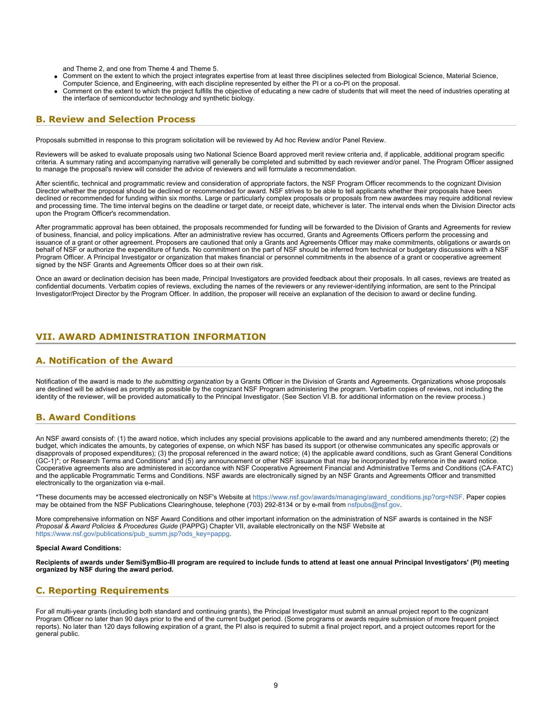and Theme 2, and one from Theme 4 and Theme 5.

- Comment on the extent to which the project integrates expertise from at least three disciplines selected from Biological Science, Material Science, Computer Science, and Engineering, with each discipline represented by either the PI or a co-PI on the proposal.
- Comment on the extent to which the project fulfills the objective of educating a new cadre of students that will meet the need of industries operating at the interface of semiconductor technology and synthetic biology.

### <span id="page-8-0"></span>**B. Review and Selection Process**

Proposals submitted in response to this program solicitation will be reviewed by Ad hoc Review and/or Panel Review.

Reviewers will be asked to evaluate proposals using two National Science Board approved merit review criteria and, if applicable, additional program specific criteria. A summary rating and accompanying narrative will generally be completed and submitted by each reviewer and/or panel. The Program Officer assigned to manage the proposal's review will consider the advice of reviewers and will formulate a recommendation.

After scientific, technical and programmatic review and consideration of appropriate factors, the NSF Program Officer recommends to the cognizant Division Director whether the proposal should be declined or recommended for award. NSF strives to be able to tell applicants whether their proposals have been declined or recommended for funding within six months. Large or particularly complex proposals or proposals from new awardees may require additional review and processing time. The time interval begins on the deadline or target date, or receipt date, whichever is later. The interval ends when the Division Director acts upon the Program Officer's recommendation.

After programmatic approval has been obtained, the proposals recommended for funding will be forwarded to the Division of Grants and Agreements for review of business, financial, and policy implications. After an administrative review has occurred, Grants and Agreements Officers perform the processing and issuance of a grant or other agreement. Proposers are cautioned that only a Grants and Agreements Officer may make commitments, obligations or awards on behalf of NSF or authorize the expenditure of funds. No commitment on the part of NSF should be inferred from technical or budgetary discussions with a NSF Program Officer. A Principal Investigator or organization that makes financial or personnel commitments in the absence of a grant or cooperative agreement signed by the NSF Grants and Agreements Officer does so at their own risk.

Once an award or declination decision has been made, Principal Investigators are provided feedback about their proposals. In all cases, reviews are treated as confidential documents. Verbatim copies of reviews, excluding the names of the reviewers or any reviewer-identifying information, are sent to the Principal Investigator/Project Director by the Program Officer. In addition, the proposer will receive an explanation of the decision to award or decline funding.

### <span id="page-8-1"></span>**VII. AWARD ADMINISTRATION INFORMATION**

### <span id="page-8-2"></span>**A. Notification of the Award**

Notification of the award is made to *the submitting organization* by a Grants Officer in the Division of Grants and Agreements. Organizations whose proposals are declined will be advised as promptly as possible by the cognizant NSF Program administering the program. Verbatim copies of reviews, not including the identity of the reviewer, will be provided automatically to the Principal Investigator. (See Section VI.B. for additional information on the review process.)

# <span id="page-8-3"></span>**B. Award Conditions**

An NSF award consists of: (1) the award notice, which includes any special provisions applicable to the award and any numbered amendments thereto; (2) the budget, which indicates the amounts, by categories of expense, on which NSF has based its support (or otherwise communicates any specific approvals or disapprovals of proposed expenditures); (3) the proposal referenced in the award notice; (4) the applicable award conditions, such as Grant General Conditions (GC-1)\*; or Research Terms and Conditions\* and (5) any announcement or other NSF issuance that may be incorporated by reference in the award notice. Cooperative agreements also are administered in accordance with NSF Cooperative Agreement Financial and Administrative Terms and Conditions (CA-FATC) and the applicable Programmatic Terms and Conditions. NSF awards are electronically signed by an NSF Grants and Agreements Officer and transmitted electronically to the organization via e-mail.

\*These documents may be accessed electronically on NSF's Website at [https://www.nsf.gov/awards/managing/award\\_conditions.jsp?org=NSF](https://www.nsf.gov/awards/managing/award_conditions.jsp?org=NSF). Paper copies may be obtained from the NSF Publications Clearinghouse, telephone (703) 292-8134 or by e-mail from [nsfpubs@nsf.gov.](mailto:nsfpubs@nsf.gov)

More comprehensive information on NSF Award Conditions and other important information on the administration of NSF awards is contained in the NSF *Proposal & Award Policies & Procedures Guide* (PAPPG) Chapter VII, available electronically on the NSF Website at [https://www.nsf.gov/publications/pub\\_summ.jsp?ods\\_key=pappg.](https://www.nsf.gov/publications/pub_summ.jsp?ods_key=pappg)

#### **Special Award Conditions:**

**Recipients of awards under SemiSymBio-III program are required to include funds to attend at least one annual Principal Investigators' (PI) meeting organized by NSF during the award period.**

# <span id="page-8-4"></span>**C. Reporting Requirements**

For all multi-year grants (including both standard and continuing grants), the Principal Investigator must submit an annual project report to the cognizant Program Officer no later than 90 days prior to the end of the current budget period. (Some programs or awards require submission of more frequent project reports). No later than 120 days following expiration of a grant, the PI also is required to submit a final project report, and a project outcomes report for the general public.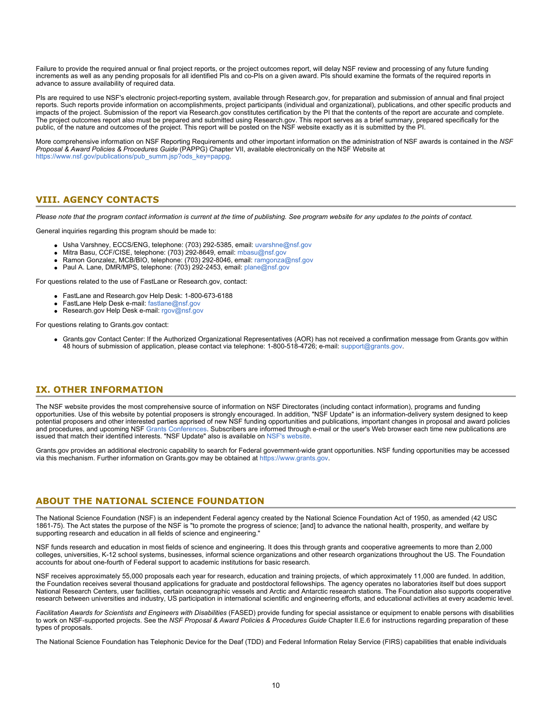Failure to provide the required annual or final project reports, or the project outcomes report, will delay NSF review and processing of any future funding increments as well as any pending proposals for all identified PIs and co-PIs on a given award. PIs should examine the formats of the required reports in advance to assure availability of required data.

PIs are required to use NSF's electronic project-reporting system, available through Research.gov, for preparation and submission of annual and final project reports. Such reports provide information on accomplishments, project participants (individual and organizational), publications, and other specific products and impacts of the project. Submission of the report via Research.gov constitutes certification by the PI that the contents of the report are accurate and complete. The project outcomes report also must be prepared and submitted using Research.gov. This report serves as a brief summary, prepared specifically for the public, of the nature and outcomes of the project. This report will be posted on the NSF website exactly as it is submitted by the PI.

More comprehensive information on NSF Reporting Requirements and other important information on the administration of NSF awards is contained in the *NSF Proposal & Award Policies & Procedures Guide* (PAPPG) Chapter VII, available electronically on the NSF Website at [https://www.nsf.gov/publications/pub\\_summ.jsp?ods\\_key=pappg.](https://www.nsf.gov/publications/pub_summ.jsp?ods_key=pappg)

# <span id="page-9-0"></span>**VIII. AGENCY CONTACTS**

*Please note that the program contact information is current at the time of publishing. See program website for any updates to the points of contact.*

General inquiries regarding this program should be made to:

- Usha Varshney, ECCS/ENG, telephone: (703) 292-5385, email: [uvarshne@nsf.gov](mailto:uvarshne@nsf.gov)
- Mitra Basu, CCF/CISE, telephone: (703) 292-8649, email: [mbasu@nsf.gov](mailto:mbasu@nsf.gov)
- Ramon Gonzalez, MCB/BIO, telephone: (703) 292-8046, email: [ramgonza@nsf.gov](mailto:ramgonza@nsf.gov)
- Paul A. Lane, DMR/MPS, telephone: (703) 292-2453, email: [plane@nsf.gov](mailto:plane@nsf.gov)

For questions related to the use of FastLane or Research.gov, contact:

- FastLane and Research.gov Help Desk: 1-800-673-6188
- FastLane Help Desk e-mail: [fastlane@nsf.gov](mailto:fastlane@nsf.gov)
- Research.gov Help Desk e-mail: [rgov@nsf.gov](mailto:rgov@nsf.gov)

For questions relating to Grants.gov contact:

Grants.gov Contact Center: If the Authorized Organizational Representatives (AOR) has not received a confirmation message from Grants.gov within 48 hours of submission of application, please contact via telephone: 1-800-518-4726; e-mail: [support@grants.gov](mailto:support@grants.gov).

### <span id="page-9-1"></span>**IX. OTHER INFORMATION**

The NSF website provides the most comprehensive source of information on NSF Directorates (including contact information), programs and funding opportunities. Use of this website by potential proposers is strongly encouraged. In addition, "NSF Update" is an information-delivery system designed to keep potential proposers and other interested parties apprised of new NSF funding opportunities and publications, important changes in proposal and award policies and procedures, and upcoming NSF [Grants Conferences](https://www.nsf.gov/bfa/dias/policy/outreach.jsp). Subscribers are informed through e-mail or the user's Web browser each time new publications are issued that match their identified interests. "NSF Update" also is available on [NSF's website](https://www.nsf.gov/cgi-bin/goodbye?https://public.govdelivery.com/accounts/USNSF/subscriber/new?topic_id=USNSF_179).

Grants.gov provides an additional electronic capability to search for Federal government-wide grant opportunities. NSF funding opportunities may be accessed via this mechanism. Further information on Grants.gov may be obtained at [https://www.grants.gov](https://www.grants.gov/).

# **ABOUT THE NATIONAL SCIENCE FOUNDATION**

The National Science Foundation (NSF) is an independent Federal agency created by the National Science Foundation Act of 1950, as amended (42 USC 1861-75). The Act states the purpose of the NSF is "to promote the progress of science; [and] to advance the national health, prosperity, and welfare by supporting research and education in all fields of science and engineering."

NSF funds research and education in most fields of science and engineering. It does this through grants and cooperative agreements to more than 2,000 colleges, universities, K-12 school systems, businesses, informal science organizations and other research organizations throughout the US. The Foundation accounts for about one-fourth of Federal support to academic institutions for basic research.

NSF receives approximately 55,000 proposals each year for research, education and training projects, of which approximately 11,000 are funded. In addition, the Foundation receives several thousand applications for graduate and postdoctoral fellowships. The agency operates no laboratories itself but does support National Research Centers, user facilities, certain oceanographic vessels and Arctic and Antarctic research stations. The Foundation also supports cooperative research between universities and industry, US participation in international scientific and engineering efforts, and educational activities at every academic level.

*Facilitation Awards for Scientists and Engineers with Disabilities* (FASED) provide funding for special assistance or equipment to enable persons with disabilities to work on NSF-supported projects. See the *NSF Proposal & Award Policies & Procedures Guide* Chapter II.E.6 for instructions regarding preparation of these types of proposals.

The National Science Foundation has Telephonic Device for the Deaf (TDD) and Federal Information Relay Service (FIRS) capabilities that enable individuals